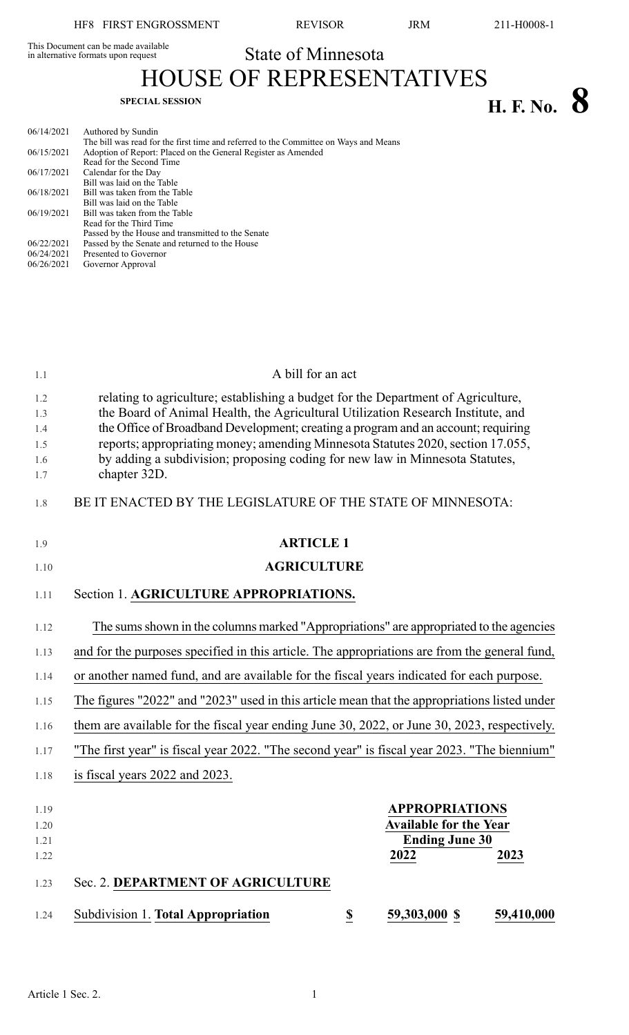This Document can be made available<br>in alternative formats upon request

State of Minnesota

HOUSE OF REPRESENTATIVES **H. F.** No. **8** 

| 06/14/2021 | Authored by Sundin                                                                   |
|------------|--------------------------------------------------------------------------------------|
|            | The bill was read for the first time and referred to the Committee on Ways and Means |
| 06/15/2021 | Adoption of Report: Placed on the General Register as Amended                        |
|            | Read for the Second Time                                                             |
| 06/17/2021 | Calendar for the Day                                                                 |
|            | Bill was laid on the Table                                                           |
| 06/18/2021 | Bill was taken from the Table                                                        |
|            | Bill was laid on the Table                                                           |
| 06/19/2021 | Bill was taken from the Table                                                        |
|            | Read for the Third Time                                                              |
|            | Passed by the House and transmitted to the Senate                                    |
| 06/22/2021 | Passed by the Senate and returned to the House                                       |
| 06/24/2021 | Presented to Governor                                                                |
| 06/26/2021 | Governor Approval                                                                    |

| 1.1                      | A bill for an act                                                                                                                                                                                                                                                                                                                             |  |  |
|--------------------------|-----------------------------------------------------------------------------------------------------------------------------------------------------------------------------------------------------------------------------------------------------------------------------------------------------------------------------------------------|--|--|
| 1.2<br>1.3<br>1.4<br>1.5 | relating to agriculture; establishing a budget for the Department of Agriculture,<br>the Board of Animal Health, the Agricultural Utilization Research Institute, and<br>the Office of Broadband Development; creating a program and an account; requiring<br>reports; appropriating money; amending Minnesota Statutes 2020, section 17.055, |  |  |
| 1.6<br>1.7               | by adding a subdivision; proposing coding for new law in Minnesota Statutes,<br>chapter 32D.                                                                                                                                                                                                                                                  |  |  |
| 1.8                      | BE IT ENACTED BY THE LEGISLATURE OF THE STATE OF MINNESOTA:                                                                                                                                                                                                                                                                                   |  |  |
| 1.9                      | <b>ARTICLE 1</b>                                                                                                                                                                                                                                                                                                                              |  |  |
| 1.10                     | <b>AGRICULTURE</b>                                                                                                                                                                                                                                                                                                                            |  |  |
| 1.11                     | Section 1. AGRICULTURE APPROPRIATIONS.                                                                                                                                                                                                                                                                                                        |  |  |
| 1.12                     | The sums shown in the columns marked "Appropriations" are appropriated to the agencies                                                                                                                                                                                                                                                        |  |  |
| 1.13                     | and for the purposes specified in this article. The appropriations are from the general fund,                                                                                                                                                                                                                                                 |  |  |
| 1.14                     | or another named fund, and are available for the fiscal years indicated for each purpose.                                                                                                                                                                                                                                                     |  |  |
| 1.15                     | The figures "2022" and "2023" used in this article mean that the appropriations listed under                                                                                                                                                                                                                                                  |  |  |
| 1.16                     | them are available for the fiscal year ending June 30, 2022, or June 30, 2023, respectively.                                                                                                                                                                                                                                                  |  |  |
| 1.17                     | "The first year" is fiscal year 2022. "The second year" is fiscal year 2023. "The biennium"                                                                                                                                                                                                                                                   |  |  |
| 1.18                     | is fiscal years 2022 and 2023.                                                                                                                                                                                                                                                                                                                |  |  |
| 1.19<br>1.20             | <b>APPROPRIATIONS</b><br><b>Available for the Year</b>                                                                                                                                                                                                                                                                                        |  |  |
| 1.21<br>1.22             | <b>Ending June 30</b><br>2022<br>2023                                                                                                                                                                                                                                                                                                         |  |  |
| 1.23                     | Sec. 2. DEPARTMENT OF AGRICULTURE                                                                                                                                                                                                                                                                                                             |  |  |
| 1.24                     | <b>Subdivision 1. Total Appropriation</b><br>59,303,000 \$<br>59,410,000<br>$\overline{\mathbf{E}}$                                                                                                                                                                                                                                           |  |  |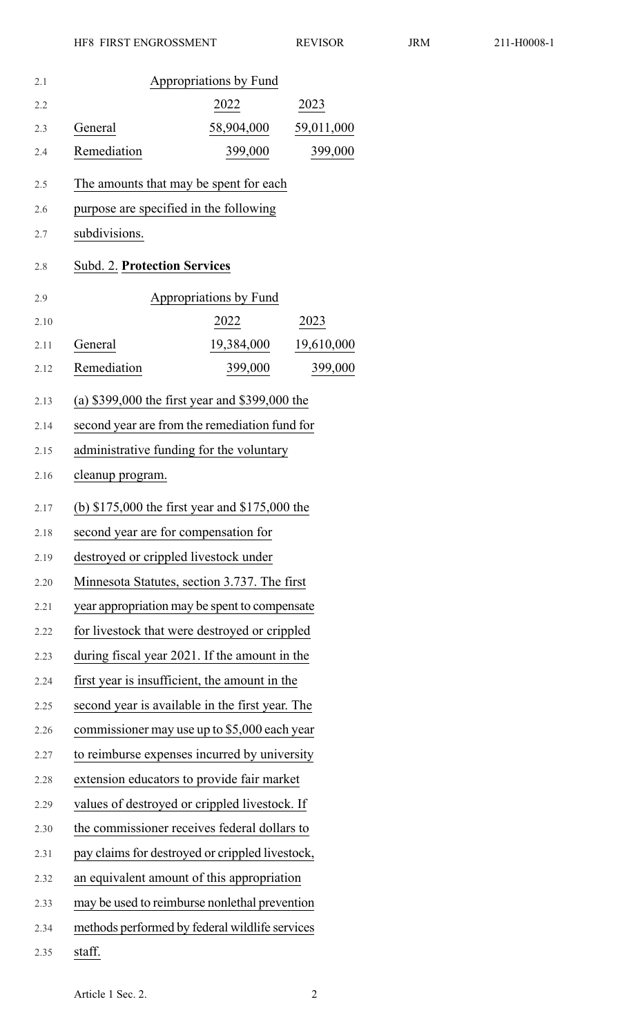| 2.1  |                                                  | Appropriations by Fund |            |
|------|--------------------------------------------------|------------------------|------------|
| 2.2  |                                                  | 2022                   | 2023       |
| 2.3  | General                                          | 58,904,000             | 59,011,000 |
| 2.4  | Remediation                                      | 399,000                | 399,000    |
| 2.5  | The amounts that may be spent for each           |                        |            |
| 2.6  | purpose are specified in the following           |                        |            |
| 2.7  | subdivisions.                                    |                        |            |
| 2.8  | <b>Subd. 2. Protection Services</b>              |                        |            |
| 2.9  |                                                  | Appropriations by Fund |            |
| 2.10 |                                                  | 2022                   | 2023       |
| 2.11 | General                                          | 19,384,000             | 19,610,000 |
| 2.12 | Remediation                                      | 399,000                | 399,000    |
| 2.13 | (a) $$399,000$ the first year and $$399,000$ the |                        |            |
| 2.14 | second year are from the remediation fund for    |                        |            |
| 2.15 | administrative funding for the voluntary         |                        |            |
| 2.16 | cleanup program.                                 |                        |            |
| 2.17 | (b) $$175,000$ the first year and $$175,000$ the |                        |            |
| 2.18 | second year are for compensation for             |                        |            |
| 2.19 | destroyed or crippled livestock under            |                        |            |
| 2.20 | Minnesota Statutes, section 3.737. The first     |                        |            |
| 2.21 | year appropriation may be spent to compensate    |                        |            |
| 2.22 | for livestock that were destroyed or crippled    |                        |            |
| 2.23 | during fiscal year 2021. If the amount in the    |                        |            |
| 2.24 | first year is insufficient, the amount in the    |                        |            |
| 2.25 | second year is available in the first year. The  |                        |            |
| 2.26 | commissioner may use up to \$5,000 each year     |                        |            |
| 2.27 | to reimburse expenses incurred by university     |                        |            |
| 2.28 | extension educators to provide fair market       |                        |            |
| 2.29 | values of destroyed or crippled livestock. If    |                        |            |
| 2.30 | the commissioner receives federal dollars to     |                        |            |
| 2.31 | pay claims for destroyed or crippled livestock,  |                        |            |
| 2.32 | an equivalent amount of this appropriation       |                        |            |
| 2.33 | may be used to reimburse nonlethal prevention    |                        |            |
| 2.34 | methods performed by federal wildlife services   |                        |            |
| 2.35 | staff.                                           |                        |            |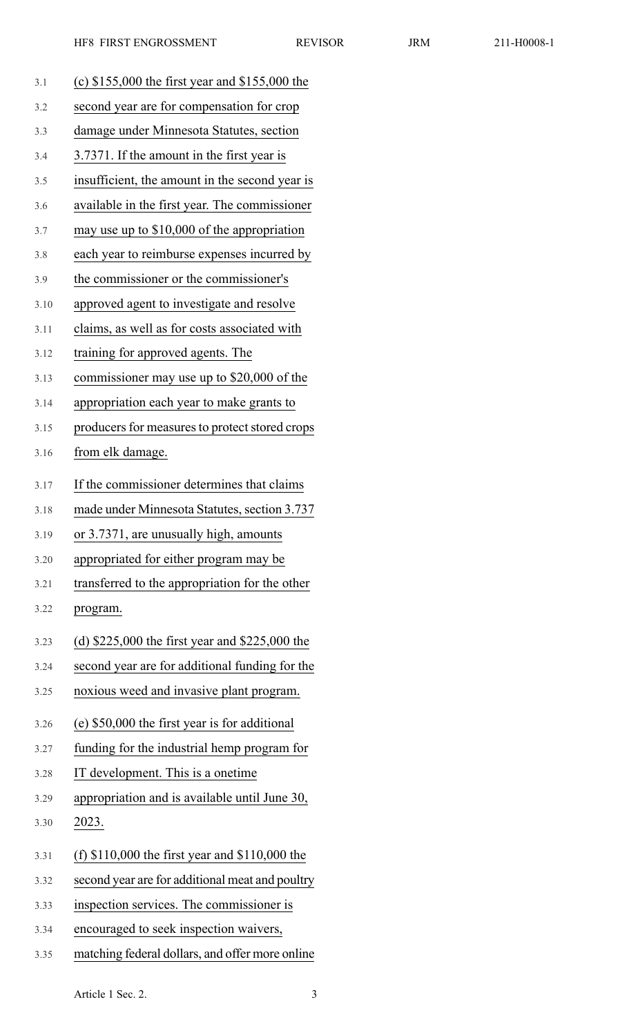| 3.1  | (c) $$155,000$ the first year and $$155,000$ the |
|------|--------------------------------------------------|
| 3.2  | second year are for compensation for crop        |
| 3.3  | damage under Minnesota Statutes, section         |
| 3.4  | 3.7371. If the amount in the first year is       |
| 3.5  | insufficient, the amount in the second year is   |
| 3.6  | available in the first year. The commissioner    |
| 3.7  | may use up to $$10,000$ of the appropriation     |
| 3.8  | each year to reimburse expenses incurred by      |
| 3.9  | the commissioner or the commissioner's           |
| 3.10 | approved agent to investigate and resolve        |
| 3.11 | claims, as well as for costs associated with     |
| 3.12 | training for approved agents. The                |
| 3.13 | commissioner may use up to \$20,000 of the       |
| 3.14 | appropriation each year to make grants to        |
| 3.15 | producers for measures to protect stored crops   |
| 3.16 | from elk damage.                                 |
| 3.17 | If the commissioner determines that claims       |
| 3.18 | made under Minnesota Statutes, section 3.737     |
| 3.19 | or 3.7371, are unusually high, amounts           |
| 3.20 | appropriated for either program may be           |
| 3.21 | transferred to the appropriation for the other   |
| 3.22 | program.                                         |
| 3.23 | (d) $$225,000$ the first year and $$225,000$ the |
| 3.24 | second year are for additional funding for the   |
| 3.25 | noxious weed and invasive plant program.         |
| 3.26 | (e) \$50,000 the first year is for additional    |
| 3.27 | funding for the industrial hemp program for      |
| 3.28 | IT development. This is a onetime                |
| 3.29 | appropriation and is available until June 30,    |
| 3.30 | 2023.                                            |
| 3.31 | (f) $$110,000$ the first year and $$110,000$ the |
| 3.32 | second year are for additional meat and poultry  |
| 3.33 | inspection services. The commissioner is         |
| 3.34 | encouraged to seek inspection waivers,           |
|      |                                                  |

3.35 matching federal dollars, and offer more online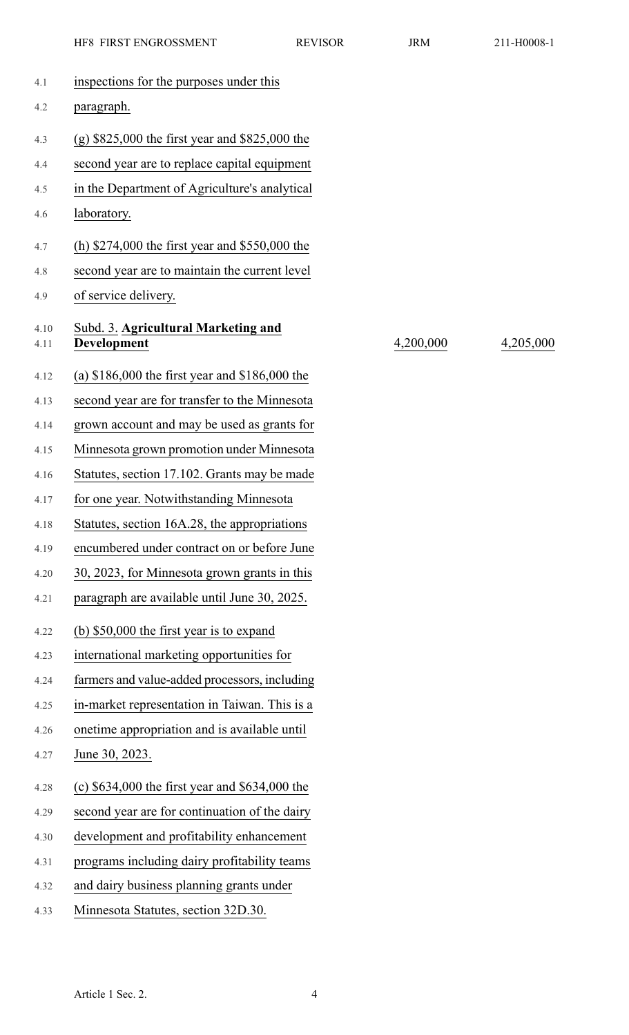| 4.1          | inspections for the purposes under this            |           |           |
|--------------|----------------------------------------------------|-----------|-----------|
| 4.2          | paragraph.                                         |           |           |
| 4.3          | $(g)$ \$825,000 the first year and \$825,000 the   |           |           |
| 4.4          | second year are to replace capital equipment       |           |           |
| 4.5          | in the Department of Agriculture's analytical      |           |           |
| 4.6          | laboratory.                                        |           |           |
| 4.7          | (h) $$274,000$ the first year and $$550,000$ the   |           |           |
| 4.8          | second year are to maintain the current level      |           |           |
| 4.9          | of service delivery.                               |           |           |
| 4.10<br>4.11 | Subd. 3. Agricultural Marketing and<br>Development | 4,200,000 | 4,205,000 |
| 4.12         | (a) $$186,000$ the first year and $$186,000$ the   |           |           |
| 4.13         | second year are for transfer to the Minnesota      |           |           |
| 4.14         | grown account and may be used as grants for        |           |           |
| 4.15         | Minnesota grown promotion under Minnesota          |           |           |
| 4.16         | Statutes, section 17.102. Grants may be made       |           |           |
| 4.17         | for one year. Notwithstanding Minnesota            |           |           |
| 4.18         | Statutes, section 16A.28, the appropriations       |           |           |
| 4.19         | encumbered under contract on or before June        |           |           |
| 4.20         | 30, 2023, for Minnesota grown grants in this       |           |           |
| 4.21         | paragraph are available until June 30, 2025.       |           |           |
| 4.22         | (b) $$50,000$ the first year is to expand          |           |           |
| 4.23         | international marketing opportunities for          |           |           |
| 4.24         | farmers and value-added processors, including      |           |           |
| 4.25         | in-market representation in Taiwan. This is a      |           |           |
| 4.26         | onetime appropriation and is available until       |           |           |
| 4.27         | June 30, 2023.                                     |           |           |
| 4.28         | (c) $$634,000$ the first year and $$634,000$ the   |           |           |
| 4.29         | second year are for continuation of the dairy      |           |           |
| 4.30         | development and profitability enhancement          |           |           |
| 4.31         | programs including dairy profitability teams       |           |           |
| 4.32         | and dairy business planning grants under           |           |           |
| 4.33         | Minnesota Statutes, section 32D.30.                |           |           |
|              |                                                    |           |           |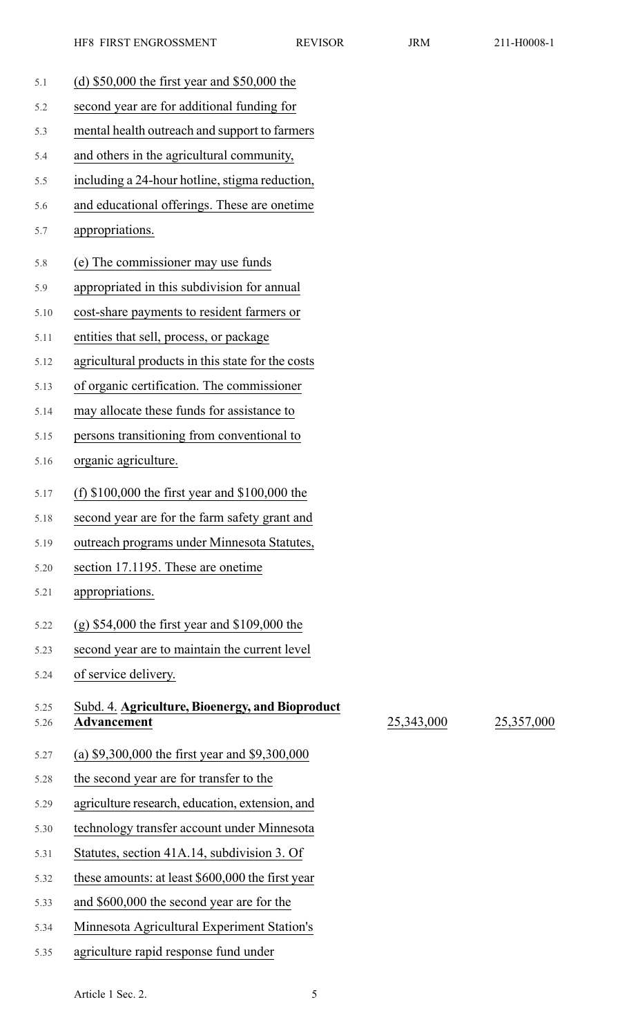25,343,000 25,357,000

| 5.1  | (d) $$50,000$ the first year and $$50,000$ the    |
|------|---------------------------------------------------|
| 5.2  | second year are for additional funding for        |
| 5.3  | mental health outreach and support to farmers     |
| 5.4  | and others in the agricultural community,         |
| 5.5  | including a 24-hour hotline, stigma reduction,    |
| 5.6  | and educational offerings. These are onetime      |
| 5.7  | appropriations.                                   |
| 5.8  | (e) The commissioner may use funds                |
| 5.9  | appropriated in this subdivision for annual       |
| 5.10 | cost-share payments to resident farmers or        |
| 5.11 | entities that sell, process, or package           |
| 5.12 | agricultural products in this state for the costs |
| 5.13 | of organic certification. The commissioner        |
| 5.14 | may allocate these funds for assistance to        |
| 5.15 | persons transitioning from conventional to        |
| 5.16 | organic agriculture.                              |
| 5.17 | (f) $$100,000$ the first year and $$100,000$ the  |
| 5.18 | second year are for the farm safety grant and     |
| 5.19 | outreach programs under Minnesota Statutes,       |
| 5.20 | section 17.1195. These are onetime                |
| 5.21 | appropriations.                                   |
| 5.22 | $(g)$ \$54,000 the first year and \$109,000 the   |
| 5.23 | second year are to maintain the current level     |
| 5.24 | of service delivery.                              |
| 5.25 | Subd. 4. Agriculture, Bioenergy, and Bioproduct   |
| 5.26 | <b>Advancement</b>                                |
| 5.27 | (a) $$9,300,000$ the first year and $$9,300,000$  |
| 5.28 | the second year are for transfer to the           |
| 5.29 | agriculture research, education, extension, and   |
| 5.30 | technology transfer account under Minnesota       |
| 5.31 | Statutes, section 41A.14, subdivision 3. Of       |
| 5.32 | these amounts: at least \$600,000 the first year  |
| 5.33 | and \$600,000 the second year are for the         |
| 5.34 | Minnesota Agricultural Experiment Station's       |

5.35 agriculture rapid response fund under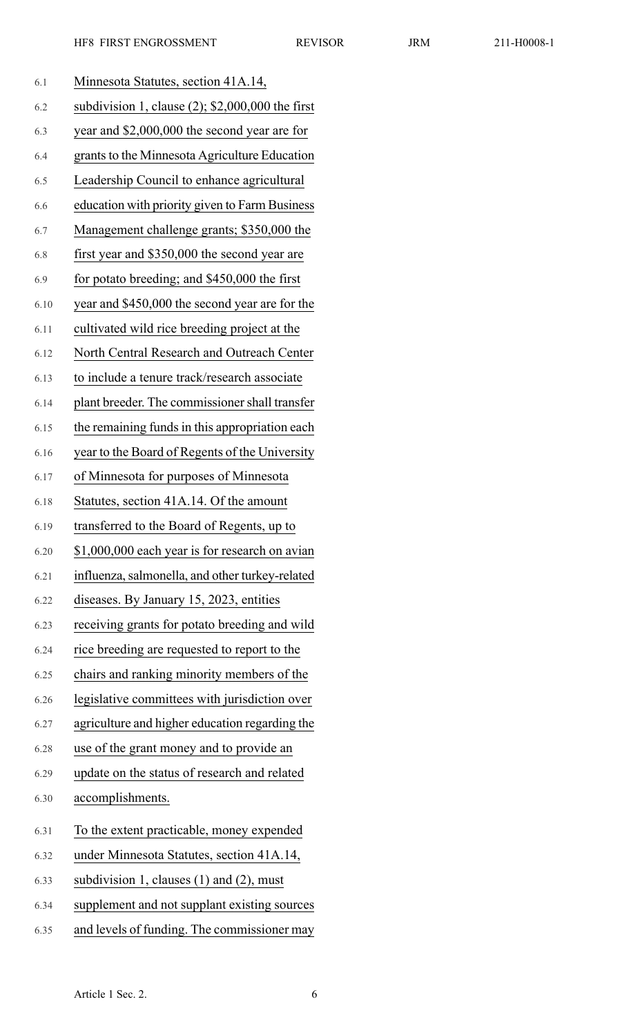| 6.1  | Minnesota Statutes, section 41A.14,                 |
|------|-----------------------------------------------------|
| 6.2  | subdivision 1, clause $(2)$ ; \$2,000,000 the first |
| 6.3  | year and \$2,000,000 the second year are for        |
| 6.4  | grants to the Minnesota Agriculture Education       |
| 6.5  | Leadership Council to enhance agricultural          |
| 6.6  | education with priority given to Farm Business      |
| 6.7  | Management challenge grants; \$350,000 the          |
| 6.8  | first year and \$350,000 the second year are        |
| 6.9  | for potato breeding; and \$450,000 the first        |
| 6.10 | year and \$450,000 the second year are for the      |
| 6.11 | cultivated wild rice breeding project at the        |
| 6.12 | North Central Research and Outreach Center          |
| 6.13 | to include a tenure track/research associate        |
| 6.14 | plant breeder. The commissioner shall transfer      |
| 6.15 | the remaining funds in this appropriation each      |
| 6.16 | year to the Board of Regents of the University      |
| 6.17 | of Minnesota for purposes of Minnesota              |
| 6.18 | Statutes, section 41A.14. Of the amount             |
| 6.19 | transferred to the Board of Regents, up to          |
| 6.20 | \$1,000,000 each year is for research on avian      |
| 6.21 | influenza, salmonella, and other turkey-related     |
| 6.22 | diseases. By January 15, 2023, entities             |
| 6.23 | receiving grants for potato breeding and wild       |
| 6.24 | rice breeding are requested to report to the        |
| 6.25 | chairs and ranking minority members of the          |
| 6.26 | legislative committees with jurisdiction over       |
| 6.27 | agriculture and higher education regarding the      |
| 6.28 | use of the grant money and to provide an            |
| 6.29 | update on the status of research and related        |
| 6.30 | accomplishments.                                    |
| 6.31 | To the extent practicable, money expended           |
| 6.32 | under Minnesota Statutes, section 41A.14,           |
| 6.33 | subdivision 1, clauses $(1)$ and $(2)$ , must       |
| 6.34 | supplement and not supplant existing sources        |
| 6.35 | and levels of funding. The commissioner may         |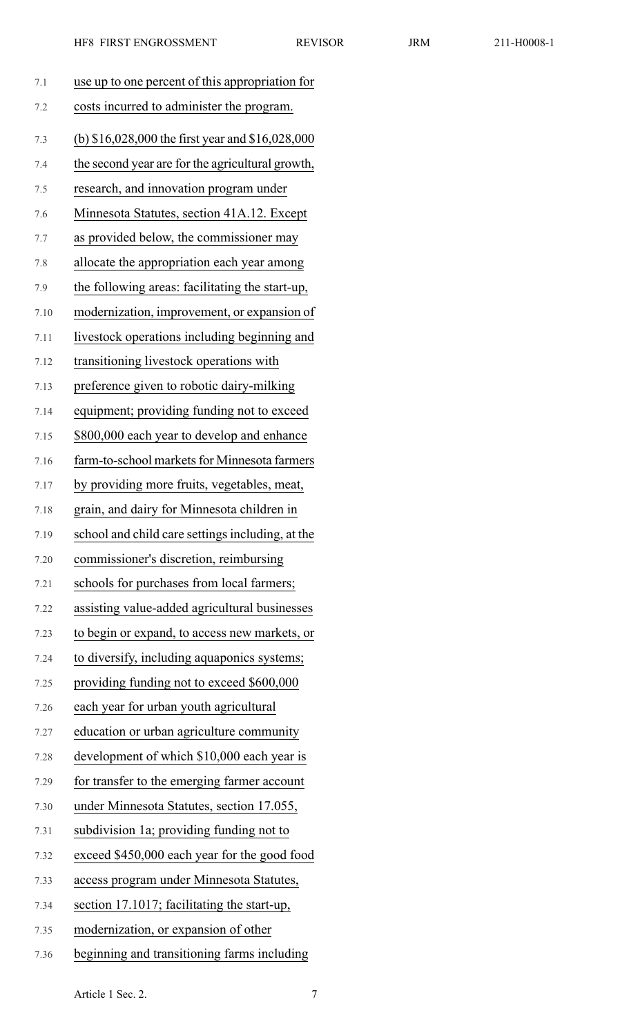|  | 11-H0 |
|--|-------|
|  |       |

| 7.1  | use up to one percent of this appropriation for    |
|------|----------------------------------------------------|
| 7.2  | costs incurred to administer the program.          |
| 7.3  | (b) $$16,028,000$ the first year and $$16,028,000$ |
| 7.4  | the second year are for the agricultural growth,   |
| 7.5  | research, and innovation program under             |
| 7.6  | Minnesota Statutes, section 41A.12. Except         |
| 7.7  | as provided below, the commissioner may            |
| 7.8  | allocate the appropriation each year among         |
| 7.9  | the following areas: facilitating the start-up,    |
| 7.10 | modernization, improvement, or expansion of        |
| 7.11 | livestock operations including beginning and       |
| 7.12 | transitioning livestock operations with            |
| 7.13 | preference given to robotic dairy-milking          |
| 7.14 | equipment; providing funding not to exceed         |
| 7.15 | \$800,000 each year to develop and enhance         |
| 7.16 | farm-to-school markets for Minnesota farmers       |
| 7.17 | by providing more fruits, vegetables, meat,        |
| 7.18 | grain, and dairy for Minnesota children in         |
| 7.19 | school and child care settings including, at the   |
| 7.20 | commissioner's discretion, reimbursing             |
| 7.21 | schools for purchases from local farmers;          |
| 7.22 | assisting value-added agricultural businesses      |
| 7.23 | to begin or expand, to access new markets, or      |
| 7.24 | to diversify, including aquaponics systems;        |
| 7.25 | providing funding not to exceed \$600,000          |
| 7.26 | each year for urban youth agricultural             |
| 7.27 | education or urban agriculture community           |
| 7.28 | development of which \$10,000 each year is         |
| 7.29 | for transfer to the emerging farmer account        |
| 7.30 | under Minnesota Statutes, section 17.055,          |
| 7.31 | subdivision 1a; providing funding not to           |
| 7.32 | exceed \$450,000 each year for the good food       |
| 7.33 | access program under Minnesota Statutes,           |
| 7.34 | section 17.1017; facilitating the start-up,        |
| 7.35 | modernization, or expansion of other               |
| 7.36 | beginning and transitioning farms including        |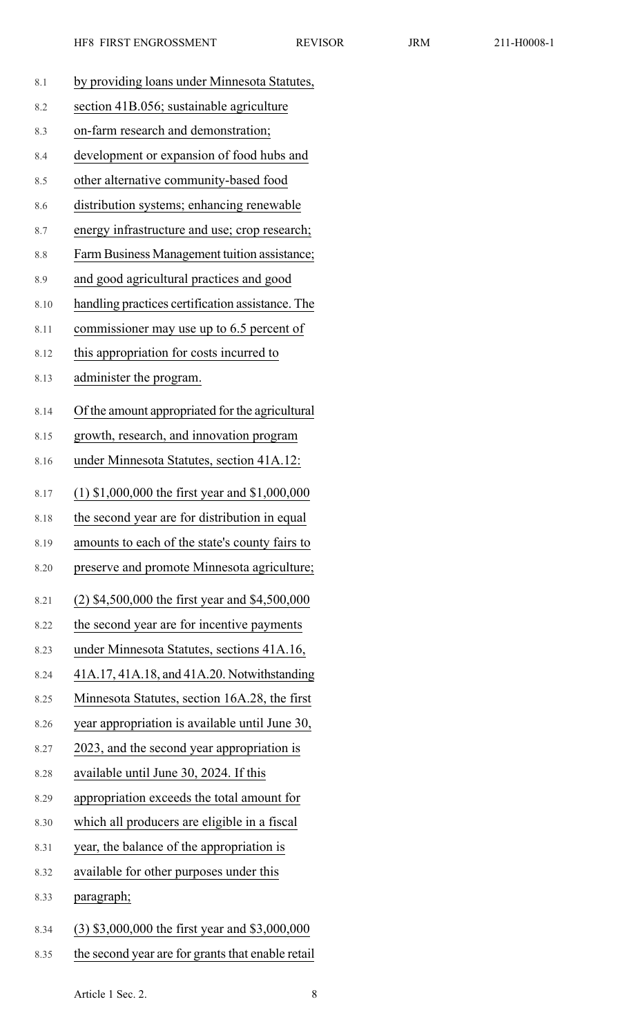| 211-I |  |
|-------|--|
|       |  |
|       |  |

| 8.1  | by providing loans under Minnesota Statutes,      |
|------|---------------------------------------------------|
| 8.2  | section 41B.056; sustainable agriculture          |
| 8.3  | on-farm research and demonstration;               |
| 8.4  | development or expansion of food hubs and         |
| 8.5  | other alternative community-based food            |
| 8.6  | distribution systems; enhancing renewable         |
| 8.7  | energy infrastructure and use; crop research;     |
| 8.8  | Farm Business Management tuition assistance;      |
| 8.9  | and good agricultural practices and good          |
| 8.10 | handling practices certification assistance. The  |
| 8.11 | commissioner may use up to 6.5 percent of         |
| 8.12 | this appropriation for costs incurred to          |
| 8.13 | administer the program.                           |
| 8.14 | Of the amount appropriated for the agricultural   |
| 8.15 | growth, research, and innovation program          |
| 8.16 | under Minnesota Statutes, section 41A.12:         |
| 8.17 | $(1)$ \$1,000,000 the first year and \$1,000,000  |
| 8.18 | the second year are for distribution in equal     |
| 8.19 | amounts to each of the state's county fairs to    |
| 8.20 | preserve and promote Minnesota agriculture;       |
| 8.21 | $(2)$ \$4,500,000 the first year and \$4,500,000  |
| 8.22 | the second year are for incentive payments        |
| 8.23 | under Minnesota Statutes, sections 41A.16,        |
| 8.24 | 41A.17, 41A.18, and 41A.20. Notwithstanding       |
| 8.25 | Minnesota Statutes, section 16A.28, the first     |
| 8.26 | year appropriation is available until June 30,    |
| 8.27 | 2023, and the second year appropriation is        |
| 8.28 | available until June 30, 2024. If this            |
| 8.29 | appropriation exceeds the total amount for        |
| 8.30 | which all producers are eligible in a fiscal      |
| 8.31 | year, the balance of the appropriation is         |
| 8.32 | available for other purposes under this           |
| 8.33 | paragraph;                                        |
| 8.34 | (3) \$3,000,000 the first year and \$3,000,000    |
| 8.35 | the second year are for grants that enable retail |

Article 1 Sec. 2. 8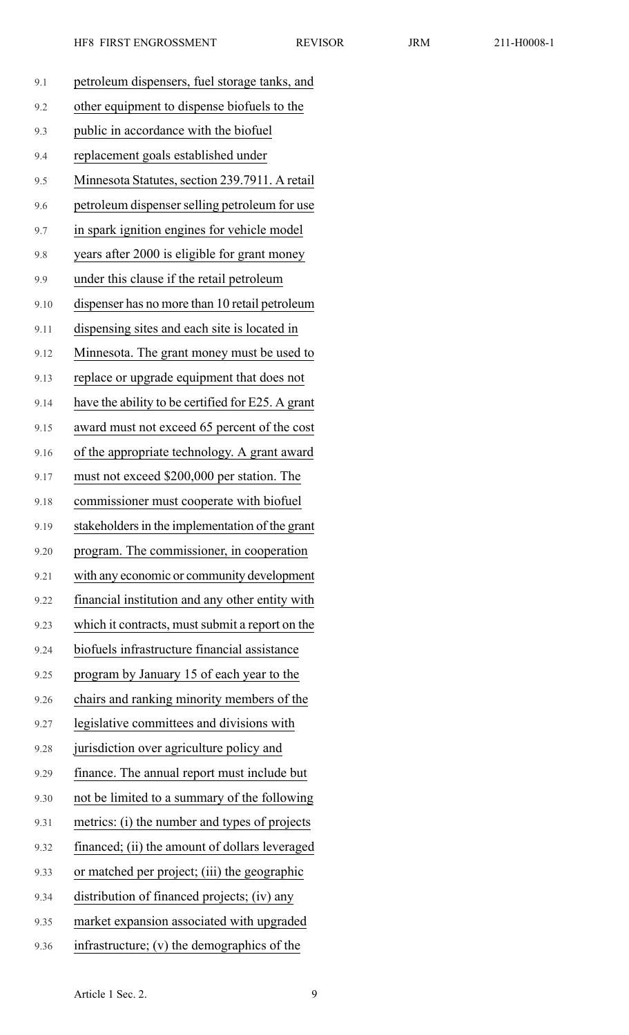| 9.1  | petroleum dispensers, fuel storage tanks, and     |
|------|---------------------------------------------------|
| 9.2  | other equipment to dispense biofuels to the       |
| 9.3  | public in accordance with the biofuel             |
| 9.4  | replacement goals established under               |
| 9.5  | Minnesota Statutes, section 239.7911. A retail    |
| 9.6  | petroleum dispenser selling petroleum for use     |
| 9.7  | in spark ignition engines for vehicle model       |
| 9.8  | years after 2000 is eligible for grant money      |
| 9.9  | under this clause if the retail petroleum         |
| 9.10 | dispenser has no more than 10 retail petroleum    |
| 9.11 | dispensing sites and each site is located in      |
| 9.12 | Minnesota. The grant money must be used to        |
| 9.13 | replace or upgrade equipment that does not        |
| 9.14 | have the ability to be certified for E25. A grant |
| 9.15 | award must not exceed 65 percent of the cost      |
| 9.16 | of the appropriate technology. A grant award      |
| 9.17 | must not exceed \$200,000 per station. The        |
| 9.18 | commissioner must cooperate with biofuel          |
| 9.19 | stakeholders in the implementation of the grant   |
| 9.20 | program. The commissioner, in cooperation         |
| 9.21 | with any economic or community development        |
| 9.22 | financial institution and any other entity with   |
| 9.23 | which it contracts, must submit a report on the   |
| 9.24 | biofuels infrastructure financial assistance      |
| 9.25 | program by January 15 of each year to the         |
| 9.26 | chairs and ranking minority members of the        |
| 9.27 | legislative committees and divisions with         |
| 9.28 | jurisdiction over agriculture policy and          |
| 9.29 | finance. The annual report must include but       |
| 9.30 | not be limited to a summary of the following      |
| 9.31 | metrics: (i) the number and types of projects     |
| 9.32 | financed; (ii) the amount of dollars leveraged    |
| 9.33 | or matched per project; (iii) the geographic      |
| 9.34 | distribution of financed projects; (iv) any       |
| 9.35 | market expansion associated with upgraded         |
| 9.36 | infrastructure; (v) the demographics of the       |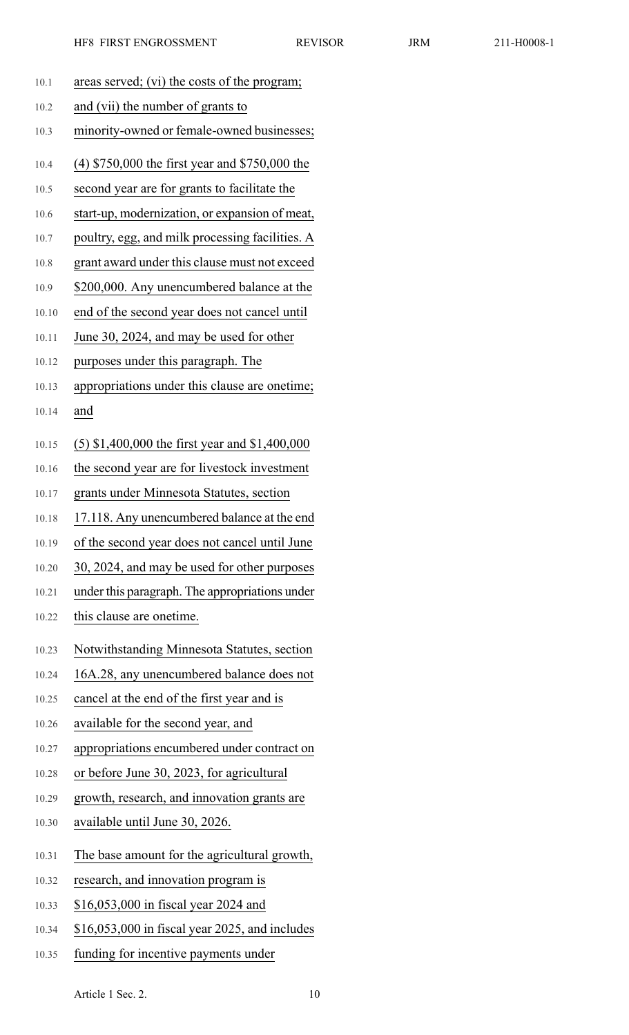| 10.1  | areas served; (vi) the costs of the program;     |
|-------|--------------------------------------------------|
| 10.2  | and (vii) the number of grants to                |
| 10.3  | minority-owned or female-owned businesses;       |
| 10.4  | $(4)$ \$750,000 the first year and \$750,000 the |
| 10.5  | second year are for grants to facilitate the     |
| 10.6  | start-up, modernization, or expansion of meat,   |
| 10.7  | poultry, egg, and milk processing facilities. A  |
| 10.8  | grant award under this clause must not exceed    |
| 10.9  | \$200,000. Any unencumbered balance at the       |
| 10.10 | end of the second year does not cancel until     |
| 10.11 | June 30, 2024, and may be used for other         |
| 10.12 | purposes under this paragraph. The               |
| 10.13 | appropriations under this clause are onetime;    |
| 10.14 | and                                              |
| 10.15 | $(5)$ \$1,400,000 the first year and \$1,400,000 |
| 10.16 | the second year are for livestock investment     |
| 10.17 | grants under Minnesota Statutes, section         |
| 10.18 | 17.118. Any unencumbered balance at the end      |
| 10.19 | of the second year does not cancel until June    |
| 10.20 | 30, 2024, and may be used for other purposes     |
| 10.21 | under this paragraph. The appropriations under   |
| 10.22 | this clause are onetime.                         |
| 10.23 | Notwithstanding Minnesota Statutes, section      |
| 10.24 | 16A.28, any unencumbered balance does not        |
| 10.25 | cancel at the end of the first year and is       |
| 10.26 | available for the second year, and               |
| 10.27 | appropriations encumbered under contract on      |
| 10.28 | or before June 30, 2023, for agricultural        |
| 10.29 | growth, research, and innovation grants are      |
| 10.30 | available until June 30, 2026.                   |
| 10.31 | The base amount for the agricultural growth,     |
| 10.32 | research, and innovation program is              |
| 10.33 | \$16,053,000 in fiscal year 2024 and             |
| 10.34 | $$16,053,000$ in fiscal year 2025, and includes  |
| 10.35 | funding for incentive payments under             |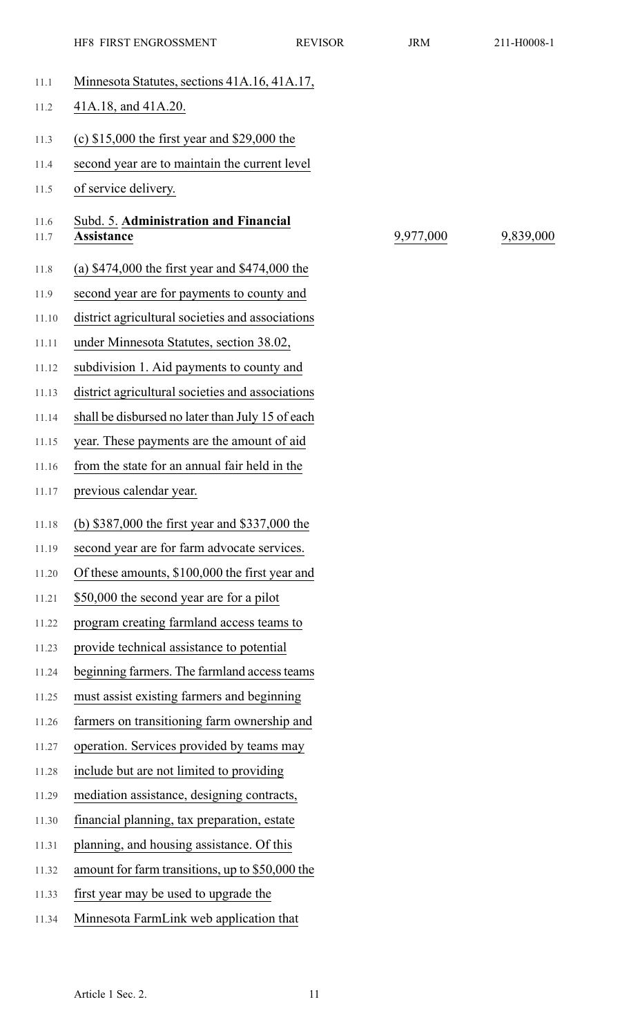|              | HF8 FIRST ENGROSSMENT                               | <b>REVISOR</b> | <b>JRM</b> | 211-H0008-1 |
|--------------|-----------------------------------------------------|----------------|------------|-------------|
| 11.1         | Minnesota Statutes, sections 41A.16, 41A.17,        |                |            |             |
| 11.2         | 41A.18, and 41A.20.                                 |                |            |             |
| 11.3         | (c) $$15,000$ the first year and $$29,000$ the      |                |            |             |
| 11.4         | second year are to maintain the current level       |                |            |             |
| 11.5         | of service delivery.                                |                |            |             |
| 11.6<br>11.7 | Subd. 5. Administration and Financial<br>Assistance |                | 9,977,000  | 9,839,000   |
| 11.8         | (a) $$474,000$ the first year and $$474,000$ the    |                |            |             |
| 11.9         | second year are for payments to county and          |                |            |             |
| 11.10        | district agricultural societies and associations    |                |            |             |
| 11.11        | under Minnesota Statutes, section 38.02,            |                |            |             |
| 11.12        | subdivision 1. Aid payments to county and           |                |            |             |
| 11.13        | district agricultural societies and associations    |                |            |             |
| 11.14        | shall be disbursed no later than July 15 of each    |                |            |             |
| 11.15        | year. These payments are the amount of aid          |                |            |             |
| 11.16        | from the state for an annual fair held in the       |                |            |             |
| 11.17        | previous calendar year.                             |                |            |             |
| 11.18        | (b) \$387,000 the first year and \$337,000 the      |                |            |             |
| 11.19        | second year are for farm advocate services.         |                |            |             |
| 11.20        | Of these amounts, \$100,000 the first year and      |                |            |             |
| 11.21        | \$50,000 the second year are for a pilot            |                |            |             |
| 11.22        | program creating farmland access teams to           |                |            |             |
| 11.23        | provide technical assistance to potential           |                |            |             |
| 11.24        | beginning farmers. The farmland access teams        |                |            |             |
| 11.25        | must assist existing farmers and beginning          |                |            |             |
| 11.26        | farmers on transitioning farm ownership and         |                |            |             |
| 11.27        | operation. Services provided by teams may           |                |            |             |
| 11.28        | include but are not limited to providing            |                |            |             |
| 11.29        | mediation assistance, designing contracts,          |                |            |             |
| 11.30        | financial planning, tax preparation, estate         |                |            |             |
| 11.31        | planning, and housing assistance. Of this           |                |            |             |
| 11.32        | amount for farm transitions, up to \$50,000 the     |                |            |             |
| 11.33        | first year may be used to upgrade the               |                |            |             |
| 11.34        | Minnesota FarmLink web application that             |                |            |             |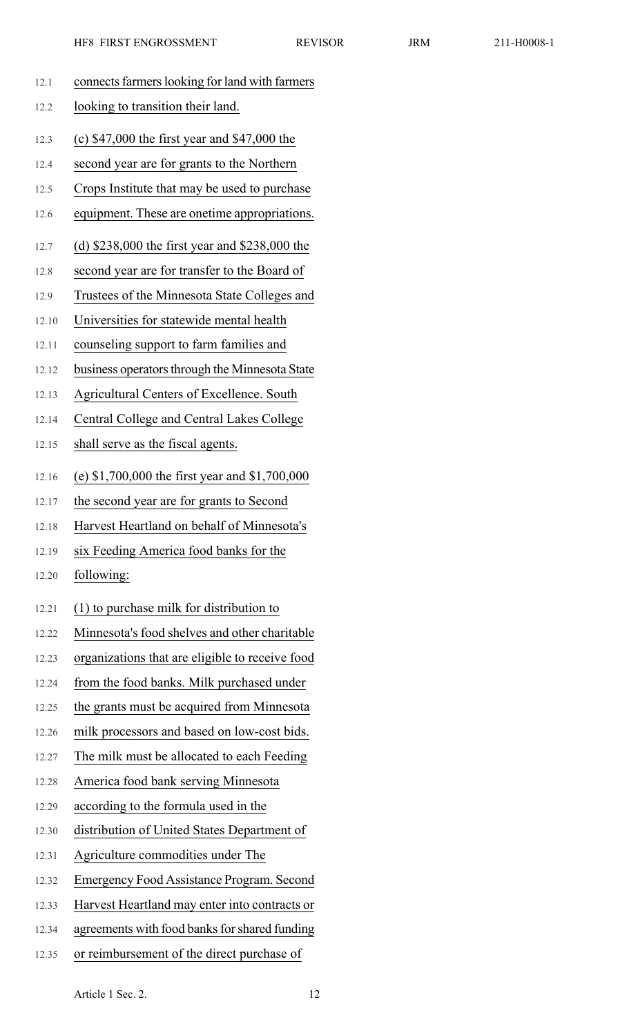|       | LILO LIIVOI EIJAAAOOOMEIJI<br>LL V IC            |
|-------|--------------------------------------------------|
| 12.1  | connects farmers looking for land with farmers   |
| 12.2  | looking to transition their land.                |
| 12.3  | (c) $$47,000$ the first year and $$47,000$ the   |
| 12.4  | second year are for grants to the Northern       |
| 12.5  | Crops Institute that may be used to purchase     |
| 12.6  | equipment. These are onetime appropriations.     |
| 12.7  | (d) $$238,000$ the first year and $$238,000$ the |
| 12.8  | second year are for transfer to the Board of     |
| 12.9  | Trustees of the Minnesota State Colleges and     |
| 12.10 | Universities for statewide mental health         |
| 12.11 | counseling support to farm families and          |
| 12.12 | business operators through the Minnesota State   |
| 12.13 | Agricultural Centers of Excellence. South        |
| 12.14 | Central College and Central Lakes College        |
| 12.15 | shall serve as the fiscal agents.                |
| 12.16 | (e) $$1,700,000$ the first year and $$1,700,000$ |
| 12.17 | the second year are for grants to Second         |
| 12.18 | Harvest Heartland on behalf of Minnesota's       |
| 12.19 | six Feeding America food banks for the           |
| 12.20 | following:                                       |
| 12.21 | $(1)$ to purchase milk for distribution to       |
| 12.22 | Minnesota's food shelves and other charitable    |
| 12.23 | organizations that are eligible to receive food  |
| 12.24 | from the food banks. Milk purchased under        |
| 12.25 | the grants must be acquired from Minnesota       |
| 12.26 | milk processors and based on low-cost bids.      |
| 12.27 | The milk must be allocated to each Feeding       |
| 12.28 | America food bank serving Minnesota              |
| 12.29 | according to the formula used in the             |
| 12.30 | distribution of United States Department of      |
| 12.31 | Agriculture commodities under The                |
| 12.32 | <b>Emergency Food Assistance Program. Second</b> |
| 12.33 | Harvest Heartland may enter into contracts or    |

Article 1 Sec. 2. 12

12.34 agreements with food banks for shared funding

12.35 or reimbursement of the direct purchase of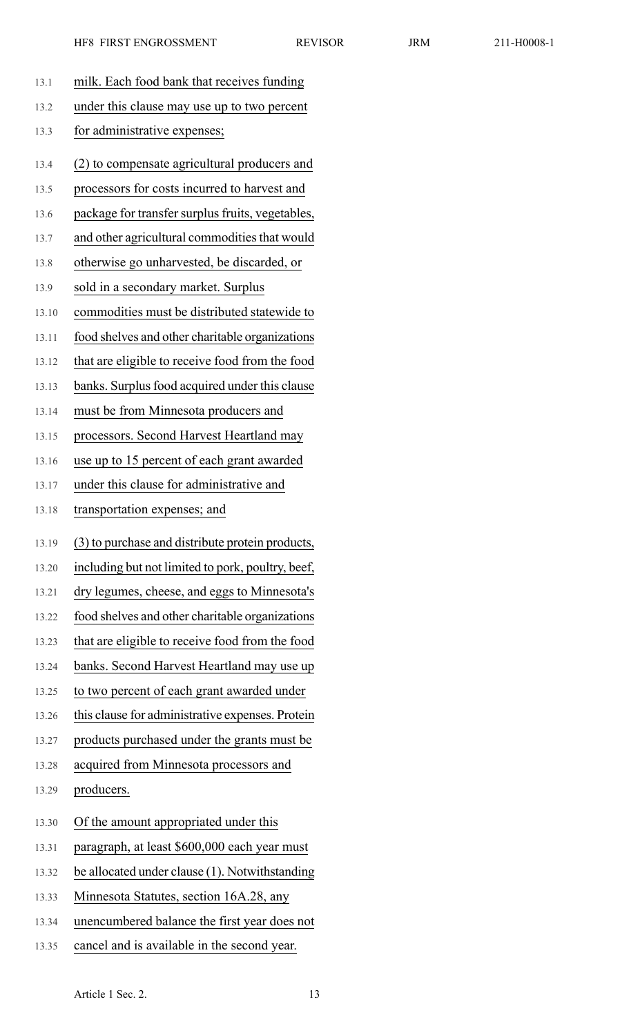| 13.1  | milk. Each food bank that receives funding        |
|-------|---------------------------------------------------|
| 13.2  | under this clause may use up to two percent       |
| 13.3  | for administrative expenses;                      |
| 13.4  | (2) to compensate agricultural producers and      |
| 13.5  | processors for costs incurred to harvest and      |
| 13.6  | package for transfer surplus fruits, vegetables,  |
| 13.7  | and other agricultural commodities that would     |
| 13.8  | otherwise go unharvested, be discarded, or        |
| 13.9  | sold in a secondary market. Surplus               |
| 13.10 | commodities must be distributed statewide to      |
| 13.11 | food shelves and other charitable organizations   |
| 13.12 | that are eligible to receive food from the food   |
| 13.13 | banks. Surplus food acquired under this clause    |
| 13.14 | must be from Minnesota producers and              |
| 13.15 | processors. Second Harvest Heartland may          |
| 13.16 | use up to 15 percent of each grant awarded        |
| 13.17 | under this clause for administrative and          |
| 13.18 | transportation expenses; and                      |
| 13.19 | (3) to purchase and distribute protein products,  |
| 13.20 | including but not limited to pork, poultry, beef, |
| 13.21 | dry legumes, cheese, and eggs to Minnesota's      |
| 13.22 | food shelves and other charitable organizations   |
| 13.23 | that are eligible to receive food from the food   |
| 13.24 | banks. Second Harvest Heartland may use up        |
| 13.25 | to two percent of each grant awarded under        |
| 13.26 | this clause for administrative expenses. Protein  |
| 13.27 | products purchased under the grants must be       |
| 13.28 | acquired from Minnesota processors and            |
| 13.29 | producers.                                        |
| 13.30 | Of the amount appropriated under this             |
| 13.31 | paragraph, at least \$600,000 each year must      |
| 13.32 | be allocated under clause (1). Notwithstanding    |
| 13.33 | Minnesota Statutes, section 16A.28, any           |
| 13.34 | unencumbered balance the first year does not      |
| 13.35 | cancel and is available in the second year.       |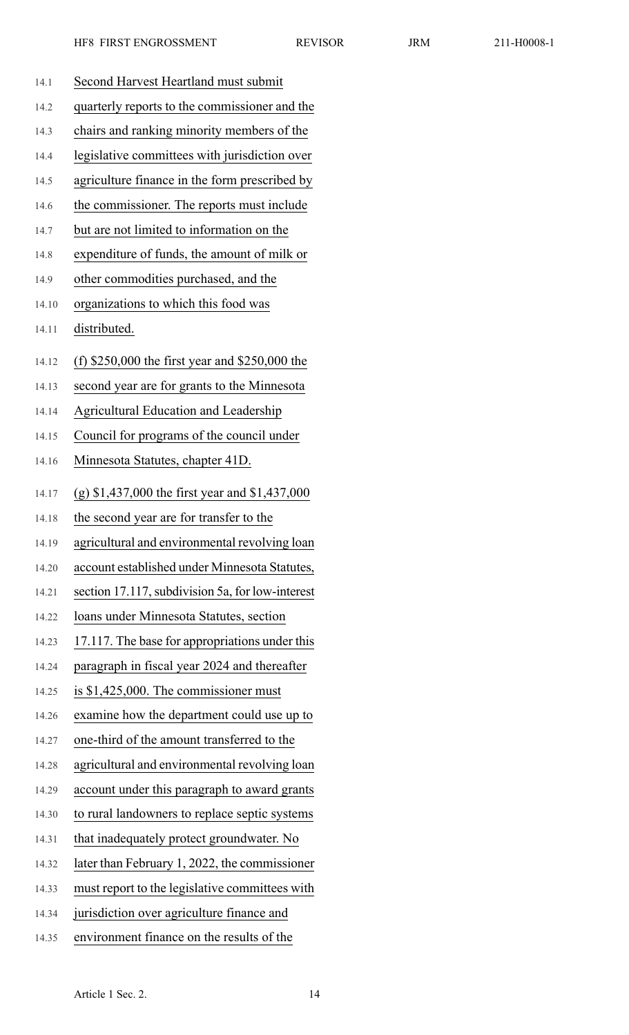| 14.1  | Second Harvest Heartland must submit             |
|-------|--------------------------------------------------|
| 14.2  | quarterly reports to the commissioner and the    |
| 14.3  | chairs and ranking minority members of the       |
| 14.4  | legislative committees with jurisdiction over    |
| 14.5  | agriculture finance in the form prescribed by    |
| 14.6  | the commissioner. The reports must include       |
| 14.7  | but are not limited to information on the        |
| 14.8  | expenditure of funds, the amount of milk or      |
| 14.9  | other commodities purchased, and the             |
| 14.10 | organizations to which this food was             |
| 14.11 | distributed.                                     |
| 14.12 | (f) $$250,000$ the first year and $$250,000$ the |
| 14.13 | second year are for grants to the Minnesota      |
| 14.14 | <b>Agricultural Education and Leadership</b>     |
| 14.15 | Council for programs of the council under        |
| 14.16 | Minnesota Statutes, chapter 41D.                 |
|       | $(g)$ \$1,437,000 the first year and \$1,437,000 |
| 14.17 | the second year are for transfer to the          |
| 14.18 | agricultural and environmental revolving loan    |
| 14.19 | account established under Minnesota Statutes,    |
| 14.20 |                                                  |
| 14.21 | section 17.117, subdivision 5a, for low-interest |
| 14.22 | loans under Minnesota Statutes, section          |
| 14.23 | 17.117. The base for appropriations under this   |
| 14.24 | paragraph in fiscal year 2024 and thereafter     |
| 14.25 | is $$1,425,000$ . The commissioner must          |
| 14.26 | examine how the department could use up to       |
| 14.27 | one-third of the amount transferred to the       |
| 14.28 | agricultural and environmental revolving loan    |
| 14.29 | account under this paragraph to award grants     |
| 14.30 | to rural landowners to replace septic systems    |
| 14.31 | that inadequately protect groundwater. No        |
| 14.32 | later than February 1, 2022, the commissioner    |
|       |                                                  |
| 14.33 | must report to the legislative committees with   |
| 14.34 | jurisdiction over agriculture finance and        |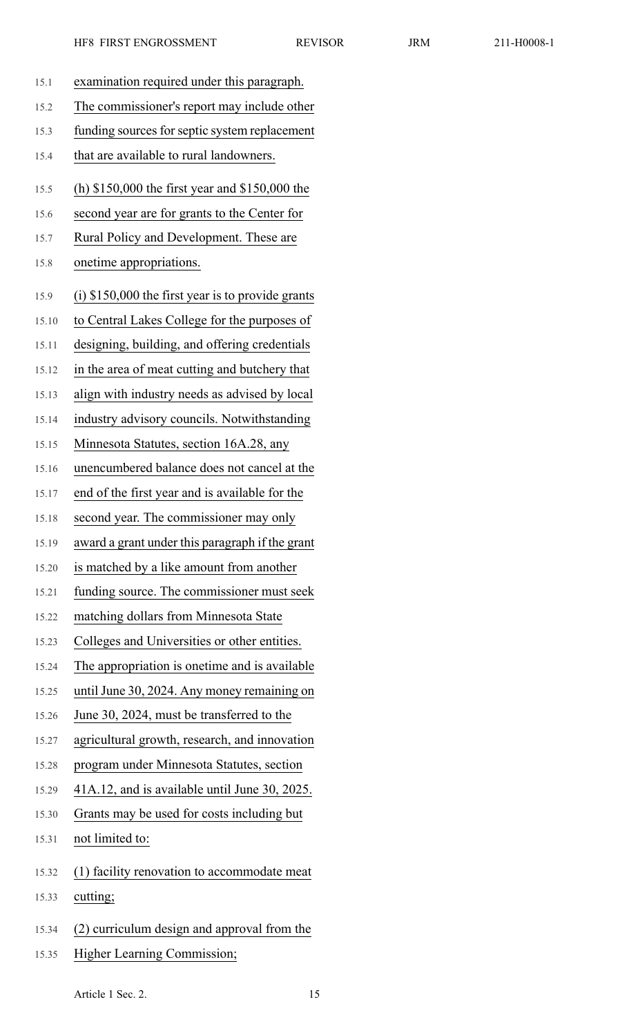| 15.1  | examination required under this paragraph.          |
|-------|-----------------------------------------------------|
| 15.2  | The commissioner's report may include other         |
| 15.3  | funding sources for septic system replacement       |
| 15.4  | that are available to rural landowners.             |
| 15.5  | (h) \$150,000 the first year and \$150,000 the      |
| 15.6  | second year are for grants to the Center for        |
| 15.7  | Rural Policy and Development. These are             |
| 15.8  | onetime appropriations.                             |
| 15.9  | $(i)$ \$150,000 the first year is to provide grants |
| 15.10 | to Central Lakes College for the purposes of        |
| 15.11 | designing, building, and offering credentials       |
| 15.12 | in the area of meat cutting and butchery that       |
| 15.13 | align with industry needs as advised by local       |
| 15.14 | industry advisory councils. Notwithstanding         |
| 15.15 | Minnesota Statutes, section 16A.28, any             |
| 15.16 | unencumbered balance does not cancel at the         |
| 15.17 | end of the first year and is available for the      |
| 15.18 | second year. The commissioner may only              |
| 15.19 | award a grant under this paragraph if the grant     |
| 15.20 | is matched by a like amount from another            |
| 15.21 | funding source. The commissioner must seek          |
| 15.22 | matching dollars from Minnesota State               |
| 15.23 | Colleges and Universities or other entities.        |
| 15.24 | The appropriation is onetime and is available       |
| 15.25 | until June 30, 2024. Any money remaining on         |
| 15.26 | June 30, 2024, must be transferred to the           |
| 15.27 | agricultural growth, research, and innovation       |
| 15.28 | program under Minnesota Statutes, section           |
| 15.29 | 41A.12, and is available until June 30, 2025.       |
| 15.30 | Grants may be used for costs including but          |
| 15.31 | not limited to:                                     |
| 15.32 | (1) facility renovation to accommodate meat         |
| 15.33 | cutting;                                            |
| 15.34 | (2) curriculum design and approval from the         |

15.35 Higher Learning Commission;

Article 1 Sec. 2. 15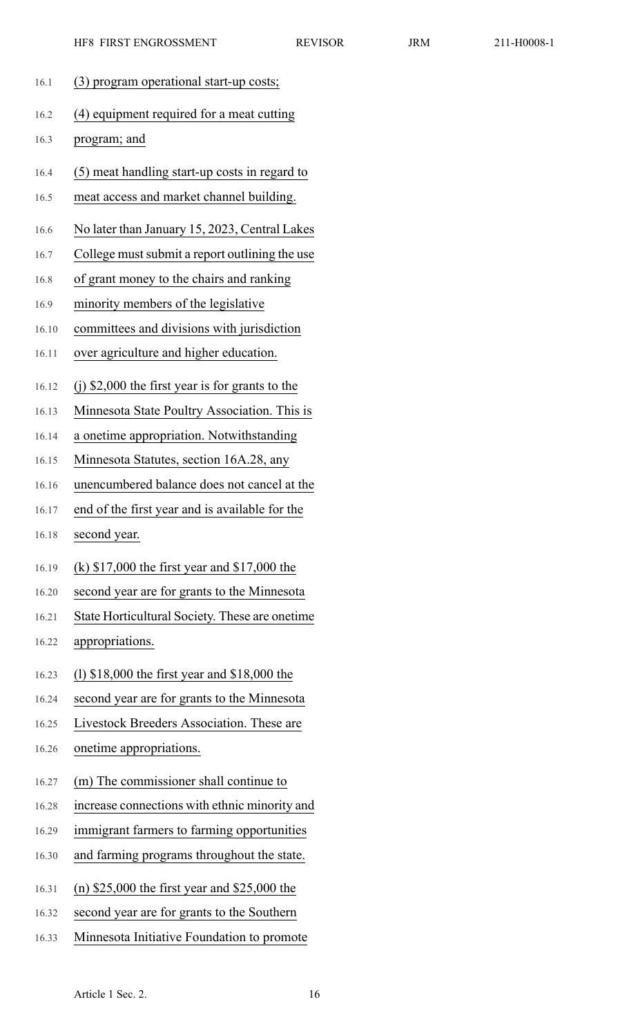16.1 (3) program operational start-up costs; 16.2 (4) equipment required for a meat cutting 16.3 program; and 16.4 (5) meat handling start-up costs in regard to 16.5 meat access and market channel building. 16.6 No later than January 15, 2023, Central Lakes 16.7 College must submit a report outlining the use 16.8 of grant money to the chairs and ranking 16.9 minority members of the legislative 16.10 committees and divisions with jurisdiction 16.11 over agriculture and higher education. 16.12 (j) \$2,000 the first year is for grants to the 16.13 Minnesota State Poultry Association. This is 16.14 a onetime appropriation. Notwithstanding 16.15 Minnesota Statutes, section 16A.28, any 16.16 unencumbered balance does not cancel at the 16.17 end of the first year and is available for the 16.18 second year. 16.19 (k) \$17,000 the first year and \$17,000 the 16.20 second year are for grants to the Minnesota 16.21 State Horticultural Society. These are onetime 16.22 appropriations. 16.23 (l) \$18,000 the first year and \$18,000 the 16.24 second year are for grants to the Minnesota 16.25 Livestock Breeders Association. These are 16.26 onetime appropriations. 16.27 (m) The commissioner shall continue to 16.28 increase connections with ethnic minority and 16.29 immigrant farmers to farming opportunities 16.30 and farming programs throughout the state. 16.31 (n) \$25,000 the first year and \$25,000 the 16.32 second year are for grants to the Southern 16.33 Minnesota Initiative Foundation to promote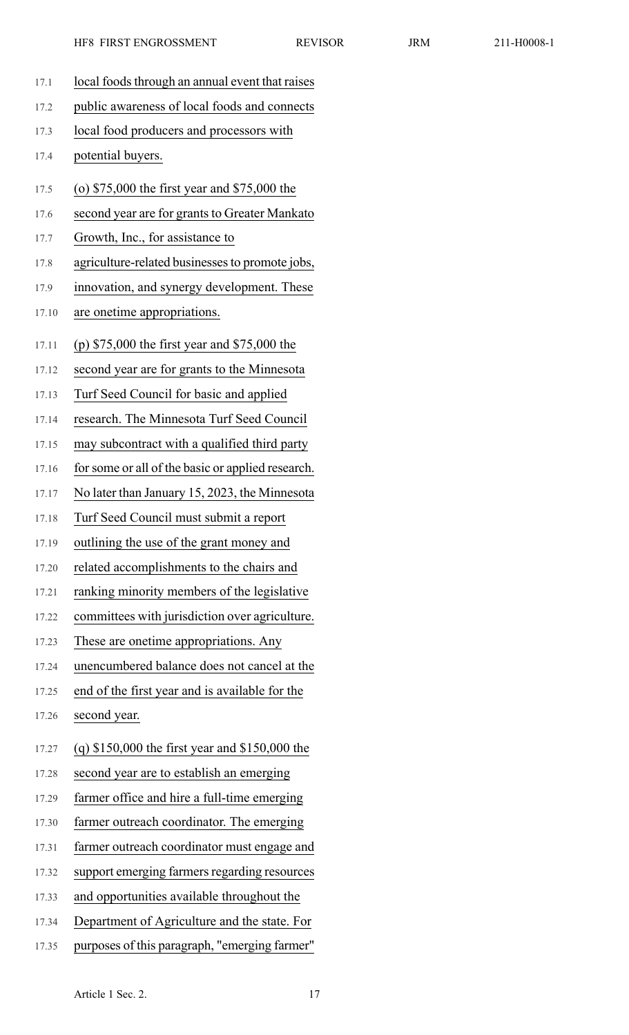17.1 local foods through an annual event that raises 17.2 public awareness of local foods and connects 17.3 local food producers and processors with 17.4 potential buyers. 17.5 (o) \$75,000 the first year and \$75,000 the 17.6 second year are for grants to Greater Mankato 17.7 Growth, Inc., for assistance to 17.8 agriculture-related businessesto promote jobs, 17.9 innovation, and synergy development. These 17.10 are onetime appropriations. 17.11 (p) \$75,000 the first year and \$75,000 the 17.12 second year are for grants to the Minnesota 17.13 Turf Seed Council for basic and applied 17.14 research. The Minnesota Turf Seed Council 17.15 may subcontract with a qualified third party 17.16 for some or all of the basic or applied research. 17.17 No later than January 15, 2023, the Minnesota 17.18 Turf Seed Council must submit a report 17.19 outlining the use of the grant money and 17.20 related accomplishments to the chairs and 17.21 ranking minority members of the legislative 17.22 committees with jurisdiction over agriculture. 17.23 These are onetime appropriations. Any 17.24 unencumbered balance does not cancel at the 17.25 end of the first year and is available for the 17.26 second year. 17.27 (q) \$150,000 the first year and \$150,000 the 17.28 second year are to establish an emerging 17.29 farmer office and hire a full-time emerging 17.30 farmer outreach coordinator. The emerging 17.31 farmer outreach coordinator must engage and 17.32 support emerging farmers regarding resources 17.33 and opportunities available throughout the 17.34 Department of Agriculture and the state. For 17.35 purposes of this paragraph, "emerging farmer"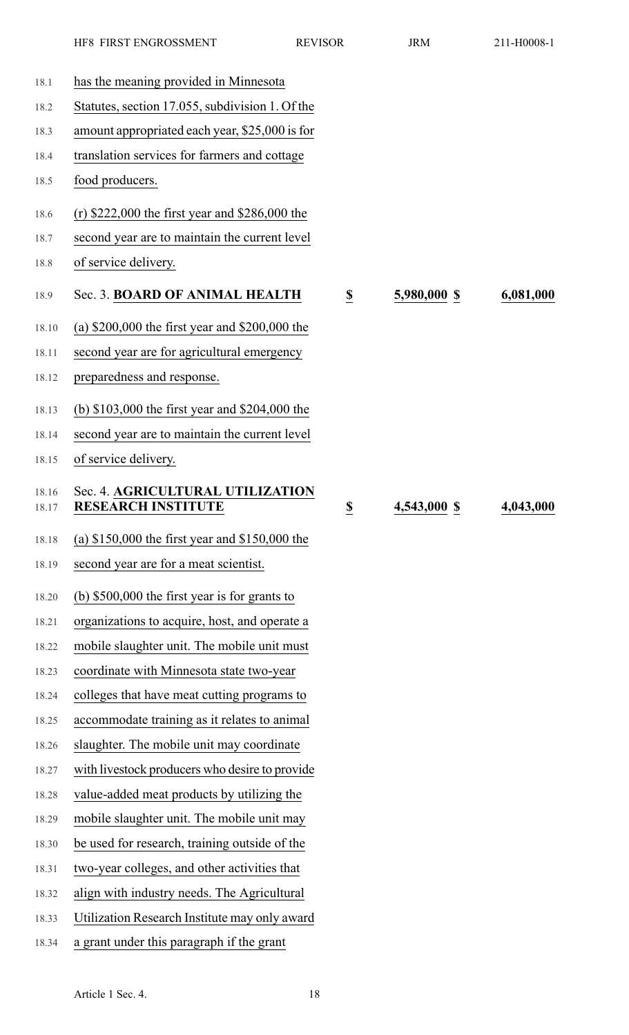|                | HF8 FIRST ENGROSSMENT                                         | <b>REVISOR</b>          | <b>JRM</b>   | 211-H0008-1 |
|----------------|---------------------------------------------------------------|-------------------------|--------------|-------------|
| 18.1           | has the meaning provided in Minnesota                         |                         |              |             |
| 18.2           | Statutes, section 17.055, subdivision 1. Of the               |                         |              |             |
| 18.3           | amount appropriated each year, \$25,000 is for                |                         |              |             |
| 18.4           | translation services for farmers and cottage                  |                         |              |             |
| 18.5           | food producers.                                               |                         |              |             |
| 18.6           | (r) $$222,000$ the first year and $$286,000$ the              |                         |              |             |
| 18.7           | second year are to maintain the current level                 |                         |              |             |
| 18.8           | of service delivery.                                          |                         |              |             |
| 18.9           | Sec. 3. BOARD OF ANIMAL HEALTH                                | S                       | 5,980,000 \$ | 6,081,000   |
| 18.10          | (a) $$200,000$ the first year and $$200,000$ the              |                         |              |             |
| 18.11          | second year are for agricultural emergency                    |                         |              |             |
| 18.12          | preparedness and response.                                    |                         |              |             |
| 18.13          | (b) \$103,000 the first year and \$204,000 the                |                         |              |             |
| 18.14          | second year are to maintain the current level                 |                         |              |             |
| 18.15          | of service delivery.                                          |                         |              |             |
| 18.16<br>18.17 | Sec. 4. AGRICULTURAL UTILIZATION<br><b>RESEARCH INSTITUTE</b> | $\overline{\mathbf{S}}$ | 4,543,000 \$ | 4,043,000   |
| 18.18          | (a) $$150,000$ the first year and $$150,000$ the              |                         |              |             |
| 18.19          | second year are for a meat scientist.                         |                         |              |             |
| 18.20          | (b) $$500,000$ the first year is for grants to                |                         |              |             |
| 18.21          | organizations to acquire, host, and operate a                 |                         |              |             |
| 18.22          | mobile slaughter unit. The mobile unit must                   |                         |              |             |
| 18.23          | coordinate with Minnesota state two-year                      |                         |              |             |
| 18.24          | colleges that have meat cutting programs to                   |                         |              |             |
| 18.25          | accommodate training as it relates to animal                  |                         |              |             |
| 18.26          | slaughter. The mobile unit may coordinate                     |                         |              |             |
| 18.27          | with livestock producers who desire to provide                |                         |              |             |
| 18.28          | value-added meat products by utilizing the                    |                         |              |             |
| 18.29          | mobile slaughter unit. The mobile unit may                    |                         |              |             |
| 18.30          | be used for research, training outside of the                 |                         |              |             |
| 18.31          | two-year colleges, and other activities that                  |                         |              |             |
| 18.32          | align with industry needs. The Agricultural                   |                         |              |             |
| 18.33          | Utilization Research Institute may only award                 |                         |              |             |
| 18.34          | a grant under this paragraph if the grant                     |                         |              |             |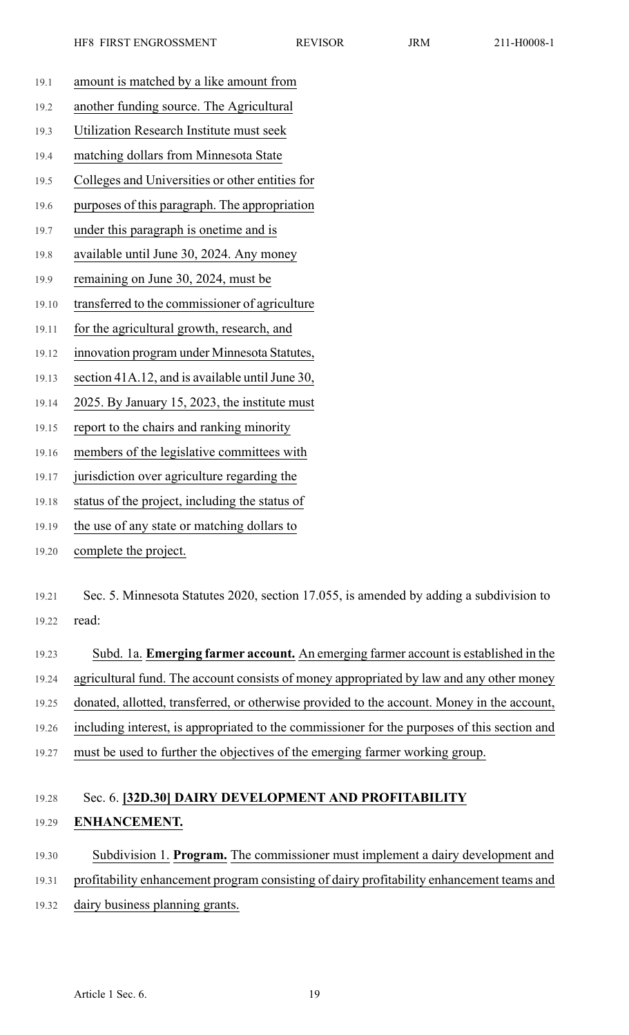- 19.1 amount is matched by a like amount from 19.2 another funding source. The Agricultural 19.3 Utilization Research Institute must seek 19.4 matching dollars from Minnesota State 19.5 Colleges and Universities or other entities for 19.6 purposes of this paragraph. The appropriation 19.7 under this paragraph is onetime and is 19.8 available until June 30, 2024. Any money 19.9 remaining on June 30, 2024, must be 19.10 transferred to the commissioner of agriculture 19.11 for the agricultural growth, research, and 19.12 innovation program under Minnesota Statutes, 19.13 section 41A.12, and is available until June 30, 19.14 2025. By January 15, 2023, the institute must
	- 19.15 report to the chairs and ranking minority
	- 19.16 members of the legislative committees with
	- 19.17 jurisdiction over agriculture regarding the
	- 19.18 status of the project, including the status of
	- 19.19 the use of any state or matching dollars to
	- 19.20 complete the project.
	- 19.21 Sec. 5. Minnesota Statutes 2020, section 17.055, is amended by adding a subdivision to 19.22 read:
	- 19.23 Subd. 1a. **Emerging farmer account.** An emerging farmer account is established in the 19.24 agricultural fund. The account consists of money appropriated by law and any other money 19.25 donated, allotted, transferred, or otherwise provided to the account. Money in the account, 19.26 including interest, is appropriated to the commissioner for the purposes of this section and 19.27 must be used to further the objectives of the emerging farmer working group.

## 19.28 Sec. 6. **[32D.30] DAIRY DEVELOPMENT AND PROFITABILITY** 19.29 **ENHANCEMENT.**

19.30 Subdivision 1. **Program.** The commissioner must implement a dairy development and 19.31 profitability enhancement program consisting of dairy profitability enhancement teams and 19.32 dairy business planning grants.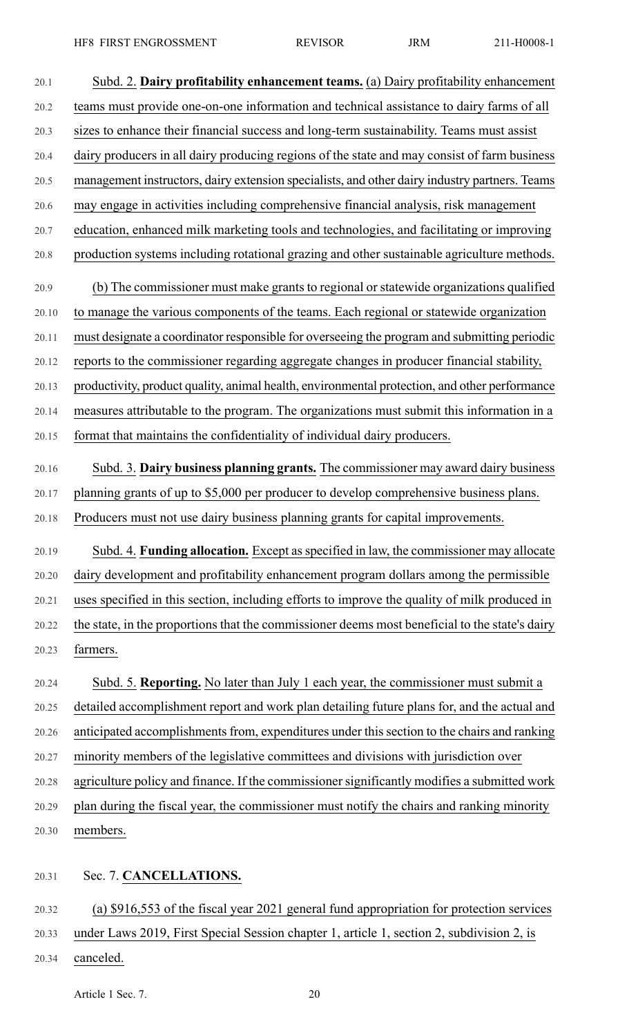20.1 Subd. 2. **Dairy profitability enhancement teams.** (a) Dairy profitability enhancement 20.2 teams must provide one-on-one information and technical assistance to dairy farms of all 20.3 sizes to enhance their financial success and long-term sustainability. Teams must assist 20.4 dairy producers in all dairy producing regions of the state and may consist of farm business 20.5 management instructors, dairy extension specialists, and other dairy industry partners. Teams 20.6 may engage in activities including comprehensive financial analysis, risk management 20.7 education, enhanced milk marketing tools and technologies, and facilitating or improving 20.8 production systems including rotational grazing and other sustainable agriculture methods. 20.9 (b) The commissioner must make grants to regional or statewide organizations qualified 20.10 to manage the various components of the teams. Each regional or statewide organization 20.11 must designate a coordinator responsible for overseeing the program and submitting periodic 20.12 reports to the commissioner regarding aggregate changes in producer financial stability, 20.13 productivity, product quality, animal health, environmental protection, and other performance 20.14 measures attributable to the program. The organizations must submit this information in a 20.15 format that maintains the confidentiality of individual dairy producers. 20.16 Subd. 3. **Dairy business planning grants.** The commissioner may award dairy business 20.17 planning grants of up to \$5,000 per producer to develop comprehensive business plans. 20.18 Producers must not use dairy business planning grants for capital improvements. 20.19 Subd. 4. **Funding allocation.** Except asspecified in law, the commissioner may allocate 20.20 dairy development and profitability enhancement program dollars among the permissible 20.21 uses specified in this section, including efforts to improve the quality of milk produced in 20.22 the state, in the proportions that the commissioner deems most beneficial to the state's dairy 20.23 farmers. 20.24 Subd. 5. **Reporting.** No later than July 1 each year, the commissioner must submit a 20.25 detailed accomplishment report and work plan detailing future plans for, and the actual and 20.26 anticipated accomplishments from, expenditures under this section to the chairs and ranking 20.27 minority members of the legislative committees and divisions with jurisdiction over 20.28 agriculture policy and finance. If the commissioner significantly modifies a submitted work 20.29 plan during the fiscal year, the commissioner must notify the chairs and ranking minority 20.30 members. 20.31 Sec. 7. **CANCELLATIONS.** 20.32 (a) \$916,553 of the fiscal year 2021 general fund appropriation for protection services

- 20.33 under Laws 2019, First Special Session chapter 1, article 1, section 2, subdivision 2, is
- 20.34 canceled.